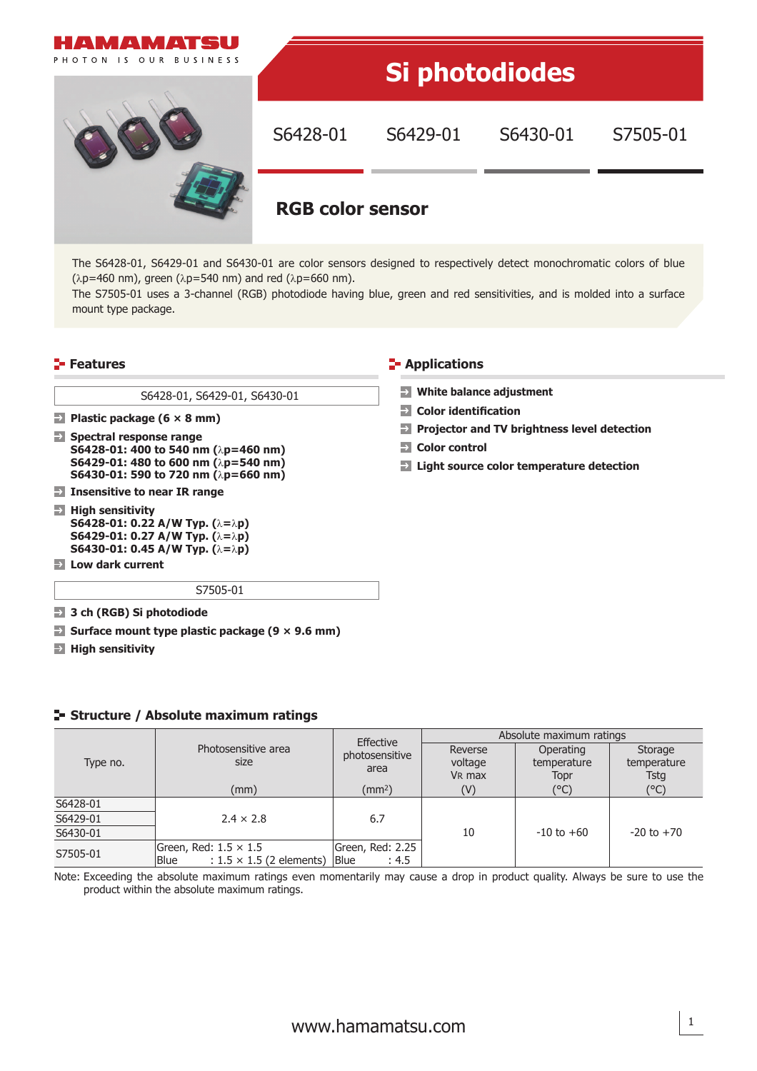

The S6428-01, S6429-01 and S6430-01 are color sensors designed to respectively detect monochromatic colors of blue ( $λp=460$  nm), green ( $λp=540$  nm) and red ( $λp=660$  nm).

The S7505-01 uses a 3-channel (RGB) photodiode having blue, green and red sensitivities, and is molded into a surface mount type package.

### **Features Applications Contract Contract Contract Contract Contract Contract Contract Contract Contract Contract Contract Contract Contract Contract Contract Contract Contract Contract Contract Contract Contract Contra**

S6428-01, S6429-01, S6430-01

**Plastic package (6 × 8 mm)**

**Spectral response range S6428-01: 400 to 540 nm (**λ**p=460 nm) S6429-01: 480 to 600 nm (**λ**p=540 nm) S6430-01: 590 to 720 nm (**λ**p=660 nm)**

- **Insensitive to near IR range**
- **High sensitivity S6428-01: 0.22 A/W Typ. (**λ**=**λ**p) S6429-01: 0.27 A/W Typ. (**λ**=**λ**p) S6430-01: 0.45 A/W Typ. (**λ**=**λ**p)**
- **Low dark current**

S7505-01

- **3 ch (RGB) Si photodiode**
- **Surface mount type plastic package (9 × 9.6 mm)**
- **High sensitivity**

### **Structure / Absolute maximum ratings**

|          |                                                                                | <b>Effective</b>                         | Absolute maximum ratings                 |                                  |                                |  |
|----------|--------------------------------------------------------------------------------|------------------------------------------|------------------------------------------|----------------------------------|--------------------------------|--|
| Type no. | Photosensitive area<br>size                                                    | photosensitive<br>area                   | Reverse<br>voltage<br>V <sub>R</sub> max | Operating<br>temperature<br>Topr | Storage<br>temperature<br>Tsta |  |
|          | (mm)                                                                           | $\text{m}^2$                             | (V)                                      | (°C)                             | (°C)                           |  |
| S6428-01 |                                                                                |                                          |                                          |                                  |                                |  |
| S6429-01 | $2.4 \times 2.8$                                                               | 6.7                                      |                                          |                                  | $-20$ to $+70$                 |  |
| S6430-01 |                                                                                |                                          | 10                                       | $-10$ to $+60$                   |                                |  |
| S7505-01 | Green, Red: $1.5 \times 1.5$<br>$: 1.5 \times 1.5$ (2 elements)<br><b>Blue</b> | Green, Red: 2.25<br><b>Blue</b><br>: 4.5 |                                          |                                  |                                |  |

Note: Exceeding the absolute maximum ratings even momentarily may cause a drop in product quality. Always be sure to use the product within the absolute maximum ratings.

## **P** Color identification **Projector and TV brightness level detection**

**Color control**

**White balance adjustment**

**Light source color temperature detection**

1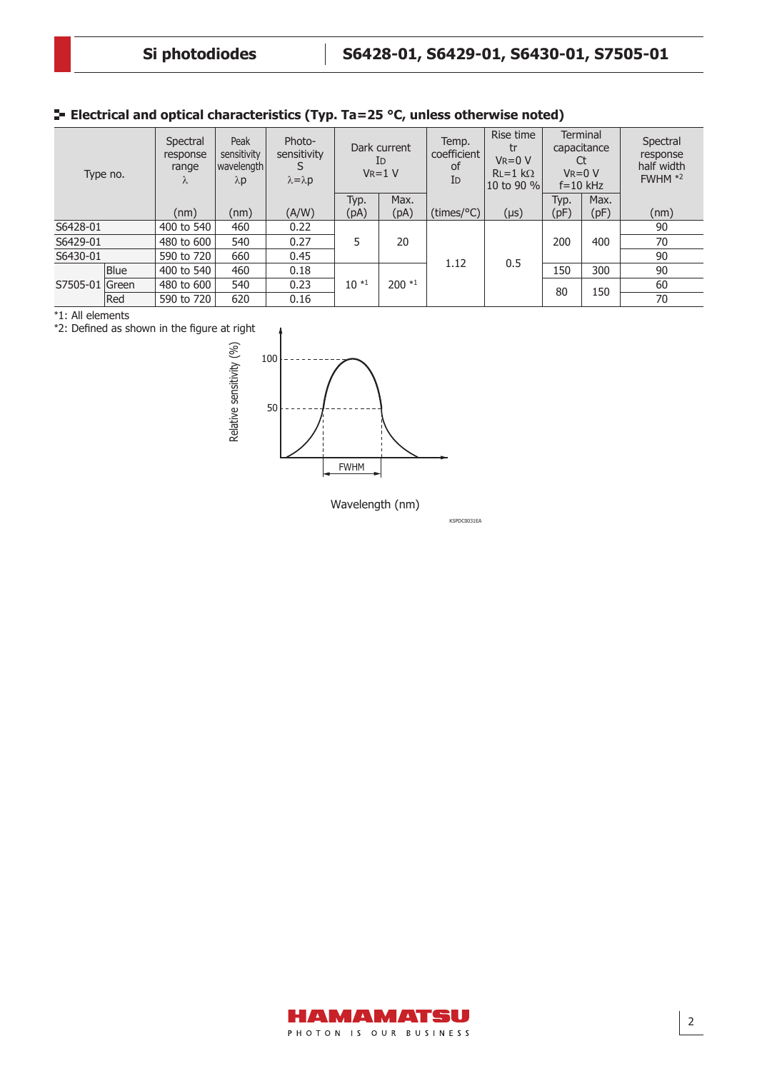# **Electrical and optical characteristics (Typ. Ta=25 °C, unless otherwise noted)**

| Type no.       |             | Spectral<br>response<br>range<br>$\Lambda$ | Peak<br>sensitivity<br> wavelength <br>$\lambda p$ | Photo-<br>sensitivity<br>$\lambda = \lambda p$ | Dark current<br>Id<br>$V_R = 1 V$ |         | Temp.<br>coefficient<br>of<br>I <sub>D</sub> | Rise time<br>tr<br>$V_R = 0 V$<br>$RL=1$ kΩ<br>10 to 90 % | Terminal<br>capacitance<br>Ct<br>$V_R = 0 V$<br>$f = 10$ kHz |      | Spectral<br>response<br>half width<br>$FWHM *2$ |
|----------------|-------------|--------------------------------------------|----------------------------------------------------|------------------------------------------------|-----------------------------------|---------|----------------------------------------------|-----------------------------------------------------------|--------------------------------------------------------------|------|-------------------------------------------------|
|                |             |                                            |                                                    |                                                | Typ.                              | Max.    |                                              |                                                           | Typ.                                                         | Max. |                                                 |
|                |             | (nm)                                       | (nm)                                               | (A/W)                                          | (pA)                              | (pA)    | $(\text{times}/^{\circ}C)$                   | $(\mu s)$                                                 | (pF)                                                         | (pF) | (nm)                                            |
| S6428-01       |             | 400 to 540                                 | 460                                                | 0.22                                           |                                   |         |                                              |                                                           |                                                              |      | 90                                              |
| S6429-01       |             | 480 to 600                                 | 540                                                | 0.27                                           | 5                                 | 20      |                                              |                                                           | 200                                                          | 400  | 70                                              |
| S6430-01       |             | 590 to 720                                 | 660                                                | 0.45                                           |                                   |         |                                              |                                                           |                                                              |      | 90                                              |
| S7505-01 Green | <b>Blue</b> | 400 to 540                                 | 460                                                | 0.18                                           | $10*1$                            | $200*1$ | 1.12                                         | 0.5                                                       | 150                                                          | 300  | 90                                              |
|                |             | 480 to 600                                 | 540                                                | 0.23                                           |                                   |         |                                              |                                                           | 80                                                           | 150  | 60                                              |
|                | Red         | 590 to 720                                 | 620                                                | 0.16                                           |                                   |         |                                              |                                                           |                                                              |      | 70                                              |

\*1: All elements

\*2: Defined as shown in the figure at right



Wavelength (nm)

KSPDC0031EA

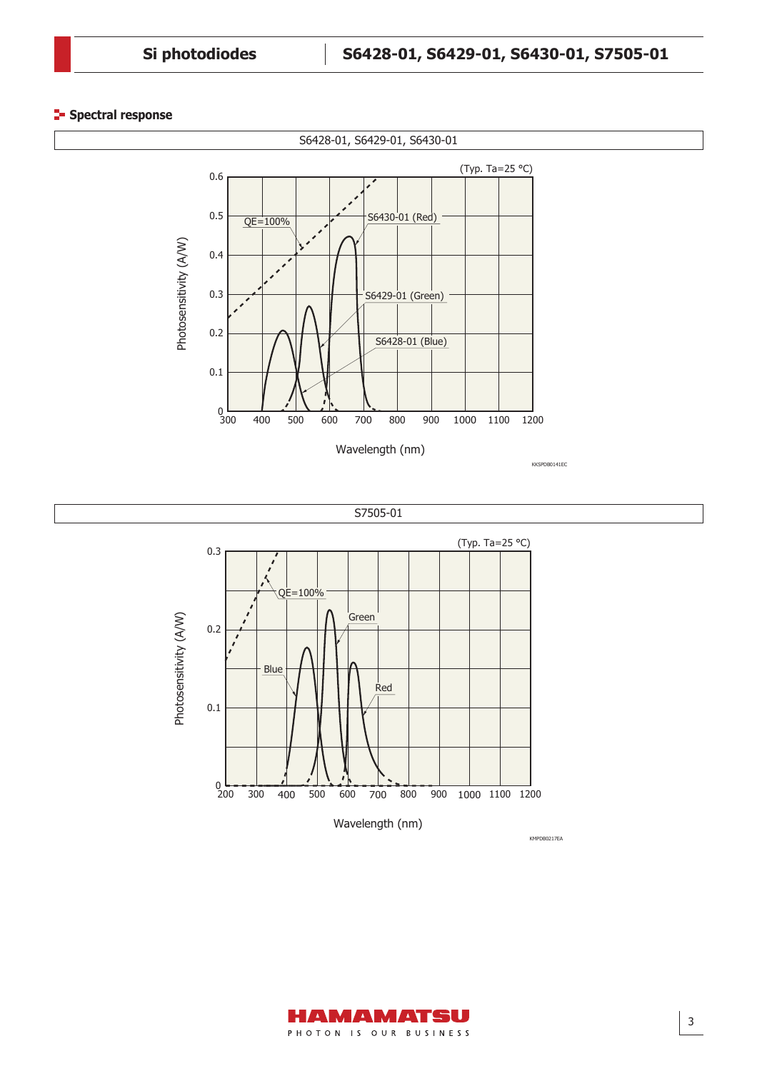#### **Spectral response**







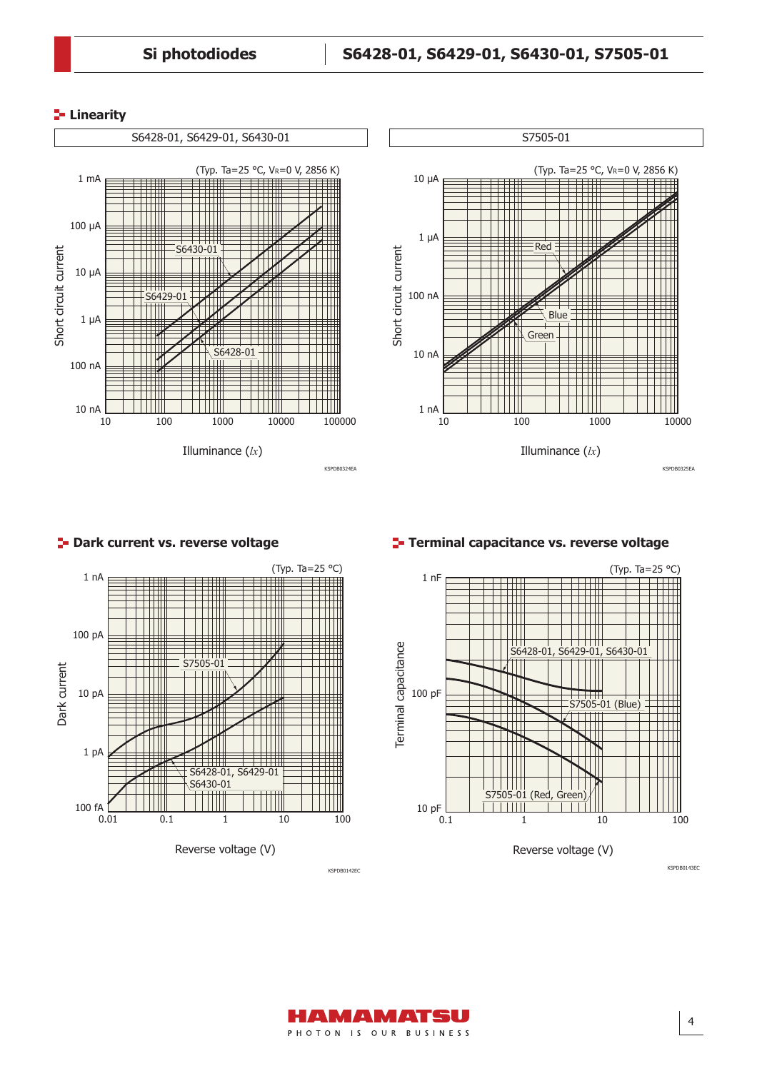#### **Linearity**







#### **Dark current vs. reverse voltage Terminal capacitance vs. reverse voltage**



KSPDB0142EC KSPDB0143EC

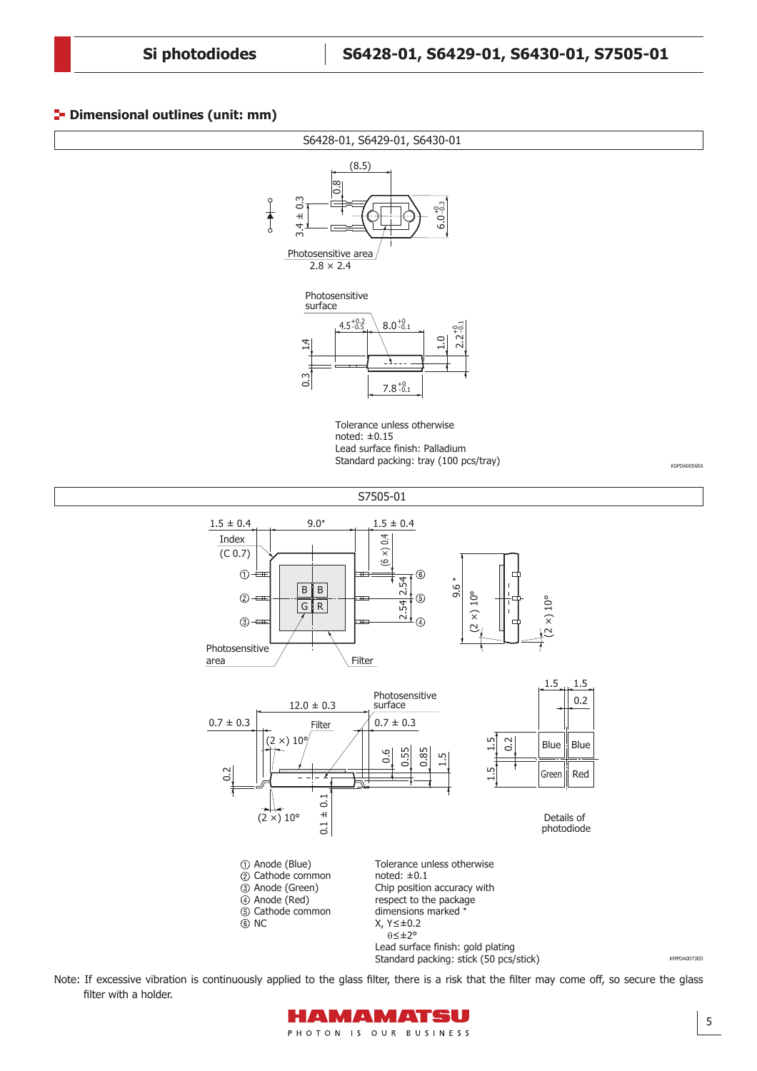#### **P**- Dimensional outlines (unit: mm)



Standard packing: stick (50 pcs/stick)

Note: If excessive vibration is continuously applied to the glass filter, there is a risk that the filter may come off, so secure the glass filter with a holder.

![](_page_4_Picture_6.jpeg)